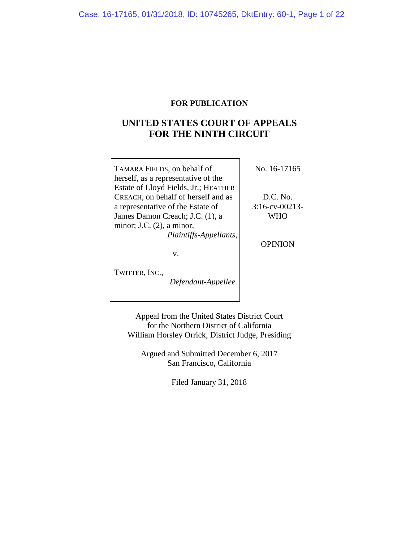# **FOR PUBLICATION**

# **UNITED STATES COURT OF APPEALS FOR THE NINTH CIRCUIT**

TAMARA FIELDS, on behalf of herself, as a representative of the Estate of Lloyd Fields, Jr.; HEATHER CREACH, on behalf of herself and as a representative of the Estate of James Damon Creach; J.C. (1), a minor; J.C. (2), a minor, *Plaintiffs-Appellants*,

v.

TWITTER, INC.,

*Defendant-Appellee.*

No. 16-17165

D.C. No. 3:16-cv-00213- WHO

OPINION

Appeal from the United States District Court for the Northern District of California William Horsley Orrick, District Judge, Presiding

Argued and Submitted December 6, 2017 San Francisco, California

Filed January 31, 2018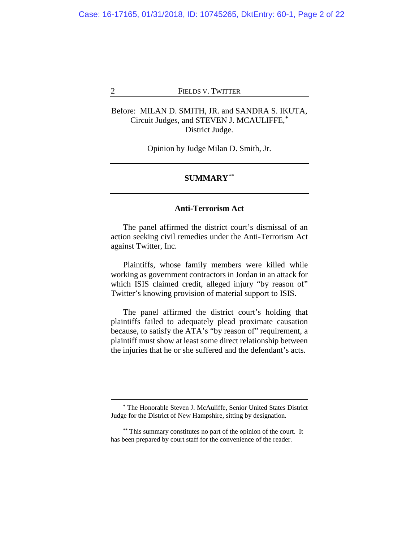# Before: MILAN D. SMITH, JR. and SANDRA S. IKUTA, Circuit Judges, and STEVEN J. MCAULIFFE,**[\\*](#page-1-0)** District Judge.

Opinion by Judge Milan D. Smith, Jr.

# **SUMMARY**[\\*\\*](#page-1-1)

#### **Anti-Terrorism Act**

The panel affirmed the district court's dismissal of an action seeking civil remedies under the Anti-Terrorism Act against Twitter, Inc.

Plaintiffs, whose family members were killed while working as government contractors in Jordan in an attack for which ISIS claimed credit, alleged injury "by reason of" Twitter's knowing provision of material support to ISIS.

The panel affirmed the district court's holding that plaintiffs failed to adequately plead proximate causation because, to satisfy the ATA's "by reason of" requirement, a plaintiff must show at least some direct relationship between the injuries that he or she suffered and the defendant's acts.

**<sup>\*</sup>** The Honorable Steven J. McAuliffe, Senior United States District Judge for the District of New Hampshire, sitting by designation.

<span id="page-1-1"></span><span id="page-1-0"></span>**<sup>\*\*</sup>** This summary constitutes no part of the opinion of the court. It has been prepared by court staff for the convenience of the reader.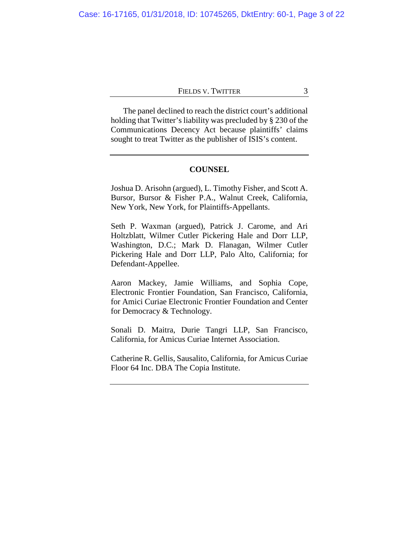The panel declined to reach the district court's additional holding that Twitter's liability was precluded by § 230 of the Communications Decency Act because plaintiffs' claims sought to treat Twitter as the publisher of ISIS's content.

#### **COUNSEL**

Joshua D. Arisohn (argued), L. Timothy Fisher, and Scott A. Bursor, Bursor & Fisher P.A., Walnut Creek, California, New York, New York, for Plaintiffs-Appellants.

Seth P. Waxman (argued), Patrick J. Carome, and Ari Holtzblatt, Wilmer Cutler Pickering Hale and Dorr LLP, Washington, D.C.; Mark D. Flanagan, Wilmer Cutler Pickering Hale and Dorr LLP, Palo Alto, California; for Defendant-Appellee.

Aaron Mackey, Jamie Williams, and Sophia Cope, Electronic Frontier Foundation, San Francisco, California, for Amici Curiae Electronic Frontier Foundation and Center for Democracy & Technology.

Sonali D. Maitra, Durie Tangri LLP, San Francisco, California, for Amicus Curiae Internet Association.

Catherine R. Gellis, Sausalito, California, for Amicus Curiae Floor 64 Inc. DBA The Copia Institute.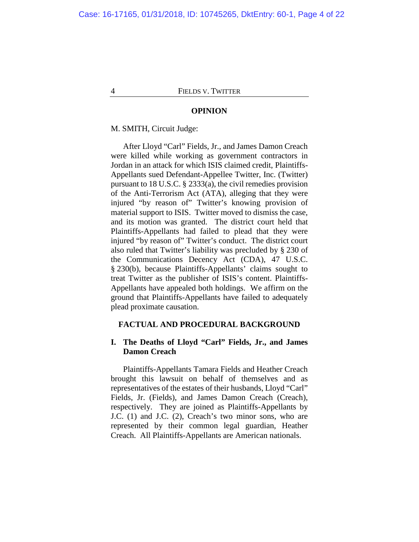#### **OPINION**

M. SMITH, Circuit Judge:

After Lloyd "Carl" Fields, Jr., and James Damon Creach were killed while working as government contractors in Jordan in an attack for which ISIS claimed credit, Plaintiffs-Appellants sued Defendant-Appellee Twitter, Inc. (Twitter) pursuant to 18 U.S.C. § 2333(a), the civil remedies provision of the Anti-Terrorism Act (ATA), alleging that they were injured "by reason of" Twitter's knowing provision of material support to ISIS. Twitter moved to dismiss the case, and its motion was granted. The district court held that Plaintiffs-Appellants had failed to plead that they were injured "by reason of" Twitter's conduct. The district court also ruled that Twitter's liability was precluded by § 230 of the Communications Decency Act (CDA), 47 U.S.C. § 230(b), because Plaintiffs-Appellants' claims sought to treat Twitter as the publisher of ISIS's content. Plaintiffs-Appellants have appealed both holdings. We affirm on the ground that Plaintiffs-Appellants have failed to adequately plead proximate causation.

# **FACTUAL AND PROCEDURAL BACKGROUND**

# **I. The Deaths of Lloyd "Carl" Fields, Jr., and James Damon Creach**

Plaintiffs-Appellants Tamara Fields and Heather Creach brought this lawsuit on behalf of themselves and as representatives of the estates of their husbands, Lloyd "Carl" Fields, Jr. (Fields), and James Damon Creach (Creach), respectively. They are joined as Plaintiffs-Appellants by J.C. (1) and J.C. (2), Creach's two minor sons, who are represented by their common legal guardian, Heather Creach.All Plaintiffs-Appellants are American nationals.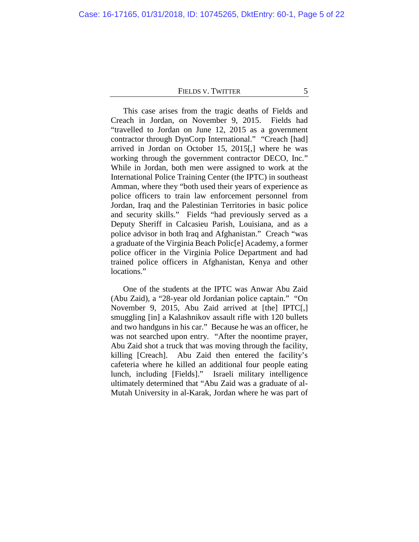This case arises from the tragic deaths of Fields and Creach in Jordan, on November 9, 2015. Fields had "travelled to Jordan on June 12, 2015 as a government contractor through DynCorp International." "Creach [had] arrived in Jordan on October 15, 2015[,] where he was working through the government contractor DECO, Inc." While in Jordan, both men were assigned to work at the International Police Training Center (the IPTC) in southeast Amman, where they "both used their years of experience as police officers to train law enforcement personnel from Jordan, Iraq and the Palestinian Territories in basic police and security skills." Fields "had previously served as a Deputy Sheriff in Calcasieu Parish, Louisiana, and as a police advisor in both Iraq and Afghanistan." Creach "was a graduate of the Virginia Beach Polic[e] Academy, a former police officer in the Virginia Police Department and had trained police officers in Afghanistan, Kenya and other locations."

One of the students at the IPTC was Anwar Abu Zaid (Abu Zaid), a "28-year old Jordanian police captain." "On November 9, 2015, Abu Zaid arrived at [the] IPTC[,] smuggling [in] a Kalashnikov assault rifle with 120 bullets and two handguns in his car." Because he was an officer, he was not searched upon entry. "After the noontime prayer, Abu Zaid shot a truck that was moving through the facility, killing [Creach]. Abu Zaid then entered the facility's cafeteria where he killed an additional four people eating lunch, including [Fields]." Israeli military intelligence ultimately determined that "Abu Zaid was a graduate of al-Mutah University in al-Karak, Jordan where he was part of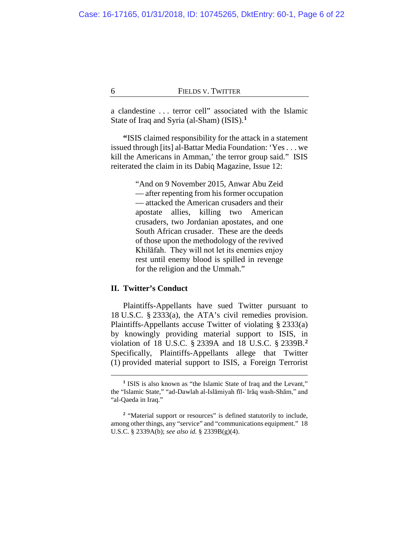a clandestine . . . terror cell" associated with the Islamic State of Iraq and Syria (al-Sham) (ISIS).**[1](#page-5-0)**

**"**ISIS claimed responsibility for the attack in a statement issued through [its] al-Battar Media Foundation: 'Yes . . . we kill the Americans in Amman,' the terror group said." ISIS reiterated the claim in its Dabiq Magazine, Issue 12:

> "And on 9 November 2015, Anwar Abu Zeid — after repenting from his former occupation — attacked the American crusaders and their apostate allies, killing two American crusaders, two Jordanian apostates, and one South African crusader. These are the deeds of those upon the methodology of the revived Khilāfah. They will not let its enemies enjoy rest until enemy blood is spilled in revenge for the religion and the Ummah."

# **II. Twitter's Conduct**

 $\overline{a}$ 

Plaintiffs-Appellants have sued Twitter pursuant to 18 U.S.C. § 2333(a), the ATA's civil remedies provision. Plaintiffs-Appellants accuse Twitter of violating § 2333(a) by knowingly providing material support to ISIS, in violation of 18 U.S.C. § 2339A and 18 U.S.C. § 2339B.**[2](#page-5-1)** Specifically, Plaintiffs-Appellants allege that Twitter (1) provided material support to ISIS, a Foreign Terrorist

**<sup>1</sup>** ISIS is also known as "the Islamic State of Iraq and the Levant," the "Islamic State," "ad-Dawlah al-Islāmiyah fīl-ʿIrāq wash-Shām," and "al-Qaeda in Iraq."

<span id="page-5-1"></span><span id="page-5-0"></span>**<sup>2</sup>** "Material support or resources" is defined statutorily to include, among other things, any "service" and "communications equipment." 18 U.S.C. § 2339A(b); *see also id.* § 2339B(g)(4).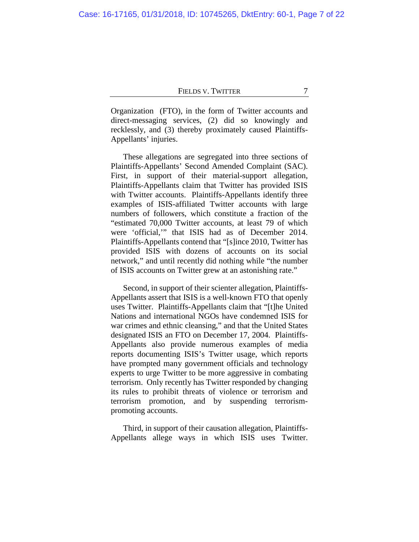Organization (FTO), in the form of Twitter accounts and direct-messaging services, (2) did so knowingly and recklessly, and (3) thereby proximately caused Plaintiffs-Appellants' injuries.

These allegations are segregated into three sections of Plaintiffs-Appellants' Second Amended Complaint (SAC). First, in support of their material-support allegation, Plaintiffs-Appellants claim that Twitter has provided ISIS with Twitter accounts.Plaintiffs-Appellants identify three examples of ISIS-affiliated Twitter accounts with large numbers of followers, which constitute a fraction of the "estimated 70,000 Twitter accounts, at least 79 of which were 'official,'" that ISIS had as of December 2014. Plaintiffs-Appellants contend that "[s]ince 2010, Twitter has provided ISIS with dozens of accounts on its social network," and until recently did nothing while "the number of ISIS accounts on Twitter grew at an astonishing rate."

Second, in support of their scienter allegation, Plaintiffs-Appellants assert that ISIS is a well-known FTO that openly uses Twitter. Plaintiffs-Appellants claim that "[t]he United Nations and international NGOs have condemned ISIS for war crimes and ethnic cleansing," and that the United States designated ISIS an FTO on December 17, 2004. Plaintiffs-Appellants also provide numerous examples of media reports documenting ISIS's Twitter usage, which reports have prompted many government officials and technology experts to urge Twitter to be more aggressive in combating terrorism. Only recently has Twitter responded by changing its rules to prohibit threats of violence or terrorism and terrorism promotion, and by suspending terrorismpromoting accounts.

Third, in support of their causation allegation, Plaintiffs-Appellants allege ways in which ISIS uses Twitter.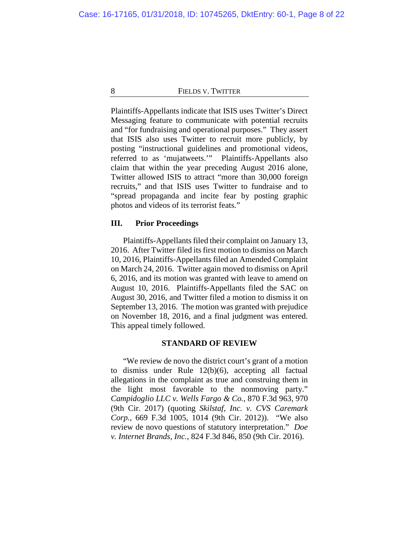Plaintiffs-Appellants indicate that ISIS uses Twitter's Direct Messaging feature to communicate with potential recruits and "for fundraising and operational purposes." They assert that ISIS also uses Twitter to recruit more publicly, by posting "instructional guidelines and promotional videos, referred to as 'mujatweets.'" Plaintiffs-Appellants also claim that within the year preceding August 2016 alone, Twitter allowed ISIS to attract "more than 30,000 foreign recruits," and that ISIS uses Twitter to fundraise and to "spread propaganda and incite fear by posting graphic photos and videos of its terrorist feats."

# **III. Prior Proceedings**

Plaintiffs-Appellants filed their complaint on January 13, 2016. After Twitter filed its first motion to dismiss on March 10, 2016, Plaintiffs-Appellants filed an Amended Complaint on March 24, 2016. Twitter again moved to dismiss on April 6, 2016, and its motion was granted with leave to amend on August 10, 2016. Plaintiffs-Appellants filed the SAC on August 30, 2016, and Twitter filed a motion to dismiss it on September 13, 2016. The motion was granted with prejudice on November 18, 2016, and a final judgment was entered. This appeal timely followed.

#### **STANDARD OF REVIEW**

"We review de novo the district court's grant of a motion to dismiss under Rule 12(b)(6), accepting all factual allegations in the complaint as true and construing them in the light most favorable to the nonmoving party." *Campidoglio LLC v. Wells Fargo & Co.*, 870 F.3d 963, 970 (9th Cir. 2017) (quoting *Skilstaf, Inc. v. CVS Caremark Corp.*, 669 F.3d 1005, 1014 (9th Cir. 2012)). "We also review de novo questions of statutory interpretation." *Doe v. Internet Brands, Inc.*, 824 F.3d 846, 850 (9th Cir. 2016).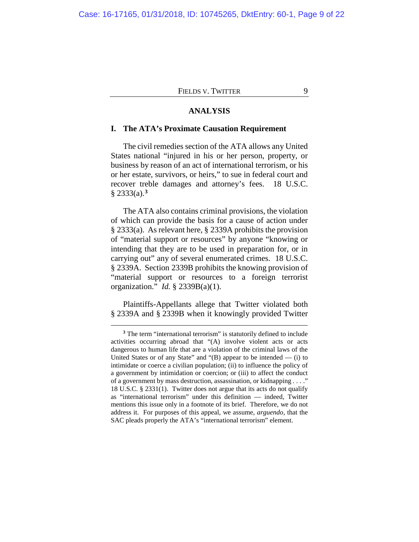#### **ANALYSIS**

#### **I. The ATA's Proximate Causation Requirement**

The civil remedies section of the ATA allows any United States national "injured in his or her person, property, or business by reason of an act of international terrorism, or his or her estate, survivors, or heirs," to sue in federal court and recover treble damages and attorney's fees. 18 U.S.C. § 2333(a).**[3](#page-8-0)**

The ATA also contains criminal provisions, the violation of which can provide the basis for a cause of action under § 2333(a). As relevant here, § 2339A prohibits the provision of "material support or resources" by anyone "knowing or intending that they are to be used in preparation for, or in carrying out" any of several enumerated crimes. 18 U.S.C. § 2339A. Section 2339B prohibits the knowing provision of "material support or resources to a foreign terrorist organization." *Id.* § 2339B(a)(1).

Plaintiffs-Appellants allege that Twitter violated both § 2339A and § 2339B when it knowingly provided Twitter

<span id="page-8-0"></span>**<sup>3</sup>** The term "international terrorism" is statutorily defined to include activities occurring abroad that "(A) involve violent acts or acts dangerous to human life that are a violation of the criminal laws of the United States or of any State" and " $(B)$  appear to be intended — (i) to intimidate or coerce a civilian population; (ii) to influence the policy of a government by intimidation or coercion; or (iii) to affect the conduct of a government by mass destruction, assassination, or kidnapping . . . ." 18 U.S.C. § 2331(1). Twitter does not argue that its acts do not qualify as "international terrorism" under this definition — indeed, Twitter mentions this issue only in a footnote of its brief. Therefore, we do not address it. For purposes of this appeal, we assume, *arguendo,* that the SAC pleads properly the ATA's "international terrorism" element.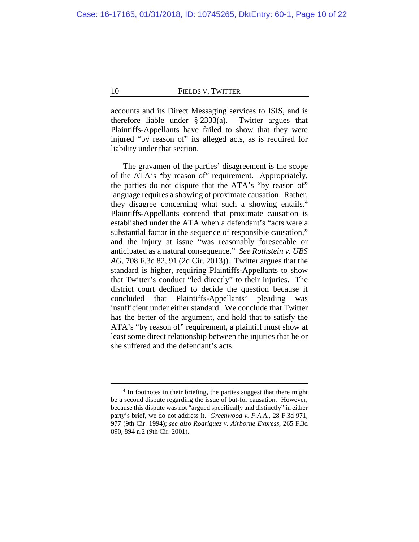accounts and its Direct Messaging services to ISIS, and is therefore liable under  $\S$  2333(a). Twitter argues that Plaintiffs-Appellants have failed to show that they were injured "by reason of" its alleged acts, as is required for liability under that section.

The gravamen of the parties' disagreement is the scope of the ATA's "by reason of" requirement. Appropriately, the parties do not dispute that the ATA's "by reason of" language requires a showing of proximate causation. Rather, they disagree concerning what such a showing entails.**[4](#page-9-0)** Plaintiffs-Appellants contend that proximate causation is established under the ATA when a defendant's "acts were a substantial factor in the sequence of responsible causation," and the injury at issue "was reasonably foreseeable or anticipated as a natural consequence." *See Rothstein v. UBS AG*, 708 F.3d 82, 91 (2d Cir. 2013)). Twitter argues that the standard is higher, requiring Plaintiffs-Appellants to show that Twitter's conduct "led directly" to their injuries. The district court declined to decide the question because it concluded that Plaintiffs-Appellants' pleading was insufficient under either standard. We conclude that Twitter has the better of the argument, and hold that to satisfy the ATA's "by reason of" requirement, a plaintiff must show at least some direct relationship between the injuries that he or she suffered and the defendant's acts.

<span id="page-9-0"></span>**<sup>4</sup>** In footnotes in their briefing, the parties suggest that there might be a second dispute regarding the issue of but-for causation. However, because this dispute was not "argued specifically and distinctly" in either party's brief, we do not address it. *Greenwood v. F.A.A.*, 28 F.3d 971, 977 (9th Cir. 1994); *see also Rodriguez v. Airborne Express*, 265 F.3d 890, 894 n.2 (9th Cir. 2001).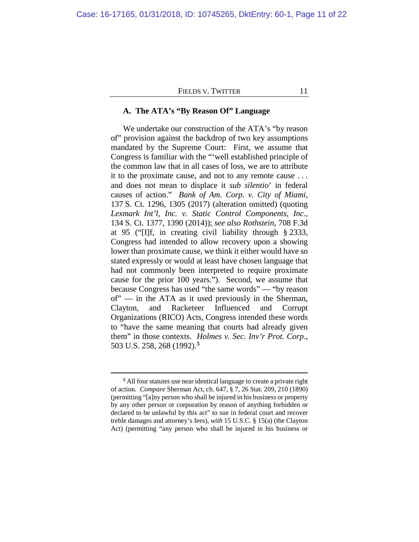# **A. The ATA's "By Reason Of" Language**

We undertake our construction of the ATA's "by reason of" provision against the backdrop of two key assumptions mandated by the Supreme Court: First, we assume that Congress is familiar with the "'well established principle of the common law that in all cases of loss, we are to attribute it to the proximate cause, and not to any remote cause . . . and does not mean to displace it *sub silentio*' in federal causes of action." *Bank of Am. Corp. v. City of Miami*, 137 S. Ct. 1296, 1305 (2017) (alteration omitted) (quoting *Lexmark Int'l, Inc. v. Static Control Components, Inc.*, 134 S. Ct. 1377, 1390 (2014)); *see also Rothstein*, 708 F.3d at 95 ("[I]f, in creating civil liability through § 2333, Congress had intended to allow recovery upon a showing lower than proximate cause, we think it either would have so stated expressly or would at least have chosen language that had not commonly been interpreted to require proximate cause for the prior 100 years."). Second, we assume that because Congress has used "the same words" — "by reason of" — in the ATA as it used previously in the Sherman, Clayton, and Racketeer Influenced and Corrupt Organizations (RICO) Acts, Congress intended these words to "have the same meaning that courts had already given them" in those contexts. *Holmes v. Sec. Inv'r Prot. Corp.*, 503 U.S. 258, 268 (1992).**[5](#page-10-0)**

<span id="page-10-0"></span>**<sup>5</sup>** All four statutes use near identical language to create a private right of action. *Compare* Sherman Act, ch. 647, § 7, 26 Stat. 209, 210 (1890) (permitting "[a]ny person who shall be injured in his business or property by any other person or corporation by reason of anything forbidden or declared to be unlawful by this act" to sue in federal court and recover treble damages and attorney's fees), *with* 15 U.S.C. § 15(a) (the Clayton Act) (permitting "any person who shall be injured in his business or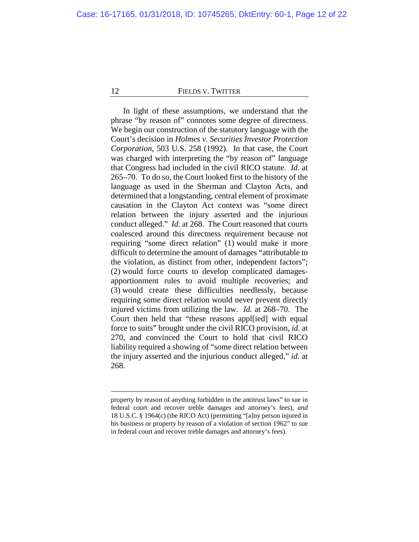In light of these assumptions, we understand that the phrase "by reason of" connotes some degree of directness. We begin our construction of the statutory language with the Court's decision in *Holmes v. Securities Investor Protection Corporation*, 503 U.S. 258 (1992). In that case, the Court was charged with interpreting the "by reason of" language that Congress had included in the civil RICO statute. *Id.* at 265–70. To do so, the Court looked first to the history of the language as used in the Sherman and Clayton Acts, and determined that a longstanding, central element of proximate causation in the Clayton Act context was "some direct relation between the injury asserted and the injurious conduct alleged." *Id.* at 268. The Court reasoned that courts coalesced around this directness requirement because not requiring "some direct relation" (1) would make it more difficult to determine the amount of damages "attributable to the violation, as distinct from other, independent factors"; (2) would force courts to develop complicated damagesapportionment rules to avoid multiple recoveries; and (3) would create these difficulties needlessly, because requiring some direct relation would never prevent directly injured victims from utilizing the law. *Id.* at 268–70. The Court then held that "these reasons appl[ied] with equal force to suits" brought under the civil RICO provision, *id.* at 270, and convinced the Court to hold that civil RICO liability required a showing of "some direct relation between the injury asserted and the injurious conduct alleged," *id.* at 268.

property by reason of anything forbidden in the antitrust laws" to sue in federal court and recover treble damages and attorney's fees), *and* 18 U.S.C. § 1964(c) (the RICO Act) (permitting "[a]ny person injured in his business or property by reason of a violation of section 1962" to sue in federal court and recover treble damages and attorney's fees).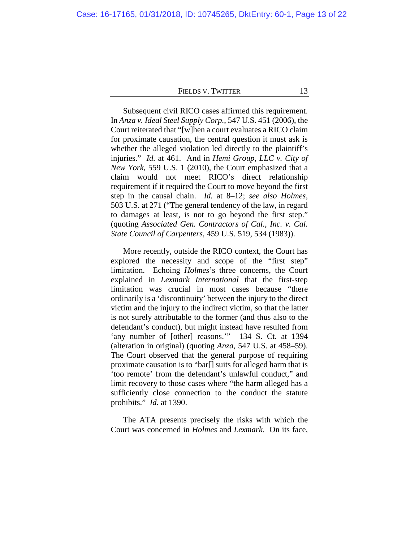Subsequent civil RICO cases affirmed this requirement. In *Anza v. Ideal Steel Supply Corp.*, 547 U.S. 451 (2006), the Court reiterated that "[w]hen a court evaluates a RICO claim for proximate causation, the central question it must ask is whether the alleged violation led directly to the plaintiff's injuries." *Id.* at 461. And in *Hemi Group, LLC v. City of New York*, 559 U.S. 1 (2010), the Court emphasized that a claim would not meet RICO's direct relationship requirement if it required the Court to move beyond the first step in the causal chain. *Id.* at 8–12; *see also Holmes*, 503 U.S. at 271 ("The general tendency of the law, in regard to damages at least, is not to go beyond the first step." (quoting *Associated Gen. Contractors of Cal., Inc. v. Cal. State Council of Carpenters*, 459 U.S. 519, 534 (1983)).

More recently, outside the RICO context, the Court has explored the necessity and scope of the "first step" limitation. Echoing *Holmes*'s three concerns, the Court explained in *Lexmark International* that the first-step limitation was crucial in most cases because "there ordinarily is a 'discontinuity' between the injury to the direct victim and the injury to the indirect victim, so that the latter is not surely attributable to the former (and thus also to the defendant's conduct), but might instead have resulted from 'any number of [other] reasons.'" 134 S. Ct. at 1394 (alteration in original) (quoting *Anza*, 547 U.S. at 458–59). The Court observed that the general purpose of requiring proximate causation is to "bar[] suits for alleged harm that is 'too remote' from the defendant's unlawful conduct," and limit recovery to those cases where "the harm alleged has a sufficiently close connection to the conduct the statute prohibits." *Id.* at 1390.

The ATA presents precisely the risks with which the Court was concerned in *Holmes* and *Lexmark.* On its face,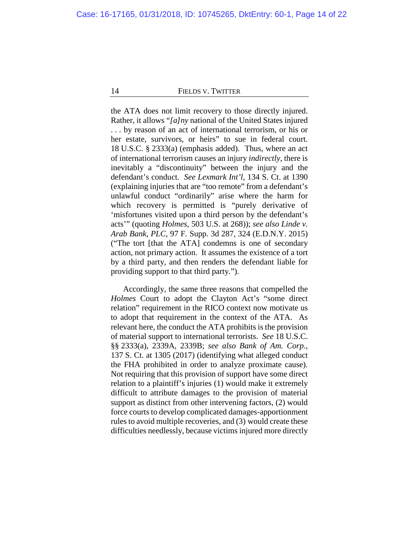the ATA does not limit recovery to those directly injured. Rather, it allows "*[a]ny* national of the United States injured . . . by reason of an act of international terrorism, or his or her estate, survivors, or heirs" to sue in federal court. 18 U.S.C. § 2333(a) (emphasis added). Thus, where an act of international terrorism causes an injury *indirectly*, there is inevitably a "discontinuity" between the injury and the defendant's conduct. *See Lexmark Int'l*, 134 S. Ct. at 1390 (explaining injuries that are "too remote" from a defendant's unlawful conduct "ordinarily" arise where the harm for which recovery is permitted is "purely derivative of 'misfortunes visited upon a third person by the defendant's acts'" (quoting *Holmes*, 503 U.S. at 268)); *see also Linde v. Arab Bank, PLC*, 97 F. Supp. 3d 287, 324 (E.D.N.Y. 2015) ("The tort [that the ATA] condemns is one of secondary action, not primary action. It assumes the existence of a tort by a third party, and then renders the defendant liable for providing support to that third party.").

Accordingly, the same three reasons that compelled the *Holmes* Court to adopt the Clayton Act's "some direct relation" requirement in the RICO context now motivate us to adopt that requirement in the context of the ATA. As relevant here, the conduct the ATA prohibits is the provision of material support to international terrorists. *See* 18 U.S.C. §§ 2333(a), 2339A, 2339B; *see also Bank of Am. Corp.*, 137 S. Ct. at 1305 (2017) (identifying what alleged conduct the FHA prohibited in order to analyze proximate cause). Not requiring that this provision of support have some direct relation to a plaintiff's injuries (1) would make it extremely difficult to attribute damages to the provision of material support as distinct from other intervening factors, (2) would force courts to develop complicated damages-apportionment rules to avoid multiple recoveries, and (3) would create these difficulties needlessly, because victims injured more directly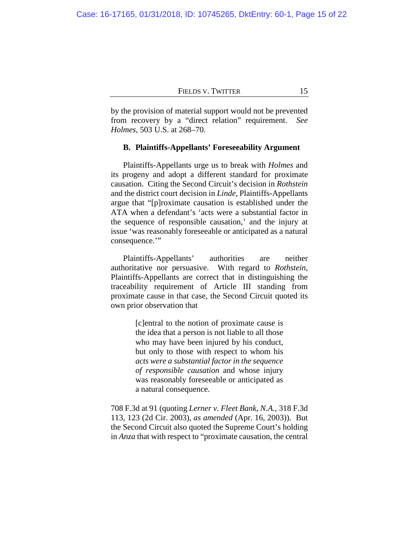by the provision of material support would not be prevented from recovery by a "direct relation" requirement. *See Holmes*, 503 U.S. at 268–70.

#### **B. Plaintiffs-Appellants' Foreseeability Argument**

Plaintiffs-Appellants urge us to break with *Holmes* and its progeny and adopt a different standard for proximate causation. Citing the Second Circuit's decision in *Rothstein*  and the district court decision in *Linde*, Plaintiffs-Appellants argue that "[p]roximate causation is established under the ATA when a defendant's 'acts were a substantial factor in the sequence of responsible causation,' and the injury at issue 'was reasonably foreseeable or anticipated as a natural consequence."

Plaintiffs-Appellants' authorities are neither authoritative nor persuasive. With regard to *Rothstein*, Plaintiffs-Appellants are correct that in distinguishing the traceability requirement of Article III standing from proximate cause in that case, the Second Circuit quoted its own prior observation that

> [c]entral to the notion of proximate cause is the idea that a person is not liable to all those who may have been injured by his conduct, but only to those with respect to whom his *acts were a substantial factor in the sequence of responsible causation* and whose injury was reasonably foreseeable or anticipated as a natural consequence.

708 F.3d at 91 (quoting *Lerner v. Fleet Bank, N.A.*, 318 F.3d 113, 123 (2d Cir. 2003), *as amended* (Apr. 16, 2003)). But the Second Circuit also quoted the Supreme Court's holding in *Anza* that with respect to "proximate causation, the central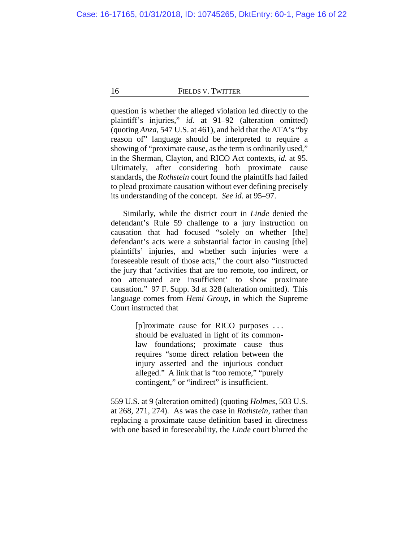question is whether the alleged violation led directly to the plaintiff's injuries," *id.* at 91–92 (alteration omitted) (quoting *Anza*, 547 U.S. at 461), and held that the ATA's "by reason of" language should be interpreted to require a showing of "proximate cause, as the term is ordinarily used," in the Sherman, Clayton, and RICO Act contexts, *id.* at 95. Ultimately, after considering both proximate cause standards, the *Rothstein* court found the plaintiffs had failed to plead proximate causation without ever defining precisely its understanding of the concept. *See id.* at 95–97.

Similarly, while the district court in *Linde* denied the defendant's Rule 59 challenge to a jury instruction on causation that had focused "solely on whether [the] defendant's acts were a substantial factor in causing [the] plaintiffs' injuries, and whether such injuries were a foreseeable result of those acts," the court also "instructed the jury that 'activities that are too remote, too indirect, or too attenuated are insufficient' to show proximate causation." 97 F. Supp. 3d at 328 (alteration omitted). This language comes from *Hemi Group*, in which the Supreme Court instructed that

> [p]roximate cause for RICO purposes . . . should be evaluated in light of its commonlaw foundations; proximate cause thus requires "some direct relation between the injury asserted and the injurious conduct alleged." A link that is "too remote," "purely contingent," or "indirect" is insufficient.

559 U.S. at 9 (alteration omitted) (quoting *Holmes*, 503 U.S. at 268, 271, 274). As was the case in *Rothstein*, rather than replacing a proximate cause definition based in directness with one based in foreseeability, the *Linde* court blurred the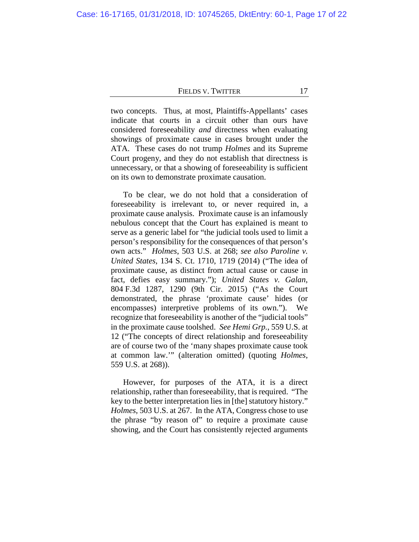two concepts. Thus, at most, Plaintiffs-Appellants' cases indicate that courts in a circuit other than ours have considered foreseeability *and* directness when evaluating showings of proximate cause in cases brought under the ATA. These cases do not trump *Holmes* and its Supreme Court progeny, and they do not establish that directness is unnecessary, or that a showing of foreseeability is sufficient on its own to demonstrate proximate causation.

To be clear, we do not hold that a consideration of foreseeability is irrelevant to, or never required in, a proximate cause analysis. Proximate cause is an infamously nebulous concept that the Court has explained is meant to serve as a generic label for "the judicial tools used to limit a person's responsibility for the consequences of that person's own acts." *Holmes*, 503 U.S. at 268; *see also Paroline v. United States*, 134 S. Ct. 1710, 1719 (2014) ("The idea of proximate cause, as distinct from actual cause or cause in fact, defies easy summary."); *United States v. Galan*, 804 F.3d 1287, 1290 (9th Cir. 2015) ("As the Court demonstrated, the phrase 'proximate cause' hides (or encompasses) interpretive problems of its own.").We recognize that foreseeability is another of the "judicial tools" in the proximate cause toolshed. *See Hemi Grp.*, 559 U.S. at 12 ("The concepts of direct relationship and foreseeability are of course two of the 'many shapes proximate cause took at common law.'" (alteration omitted) (quoting *Holmes*, 559 U.S. at 268)).

However, for purposes of the ATA, it is a direct relationship, rather than foreseeability, that is required. "The key to the better interpretation lies in [the] statutory history." *Holmes*, 503 U.S. at 267. In the ATA, Congress chose to use the phrase "by reason of" to require a proximate cause showing, and the Court has consistently rejected arguments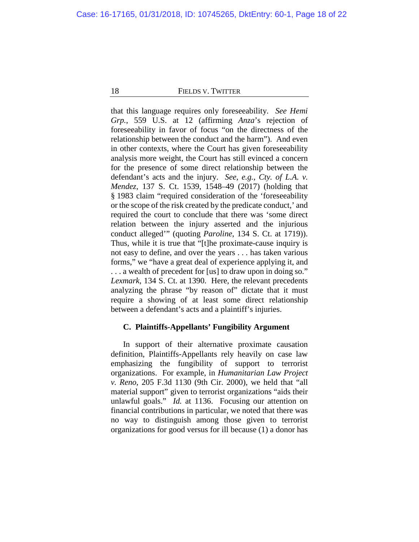that this language requires only foreseeability. *See Hemi Grp.*, 559 U.S. at 12 (affirming *Anza*'s rejection of foreseeability in favor of focus "on the directness of the relationship between the conduct and the harm"). And even in other contexts, where the Court has given foreseeability analysis more weight, the Court has still evinced a concern for the presence of some direct relationship between the defendant's acts and the injury. *See, e.g.*, *Cty. of L.A. v. Mendez*, 137 S. Ct. 1539, 1548–49 (2017) (holding that § 1983 claim "required consideration of the 'foreseeability or the scope of the risk created by the predicate conduct,' and required the court to conclude that there was 'some direct relation between the injury asserted and the injurious conduct alleged'" (quoting *Paroline*, 134 S. Ct. at 1719)). Thus, while it is true that "[t]he proximate-cause inquiry is not easy to define, and over the years . . . has taken various forms," we "have a great deal of experience applying it, and . . . a wealth of precedent for [us] to draw upon in doing so." *Lexmark*, 134 S. Ct. at 1390. Here, the relevant precedents analyzing the phrase "by reason of" dictate that it must require a showing of at least some direct relationship between a defendant's acts and a plaintiff's injuries.

#### **C. Plaintiffs-Appellants' Fungibility Argument**

In support of their alternative proximate causation definition, Plaintiffs-Appellants rely heavily on case law emphasizing the fungibility of support to terrorist organizations. For example, in *Humanitarian Law Project v. Reno*, 205 F.3d 1130 (9th Cir. 2000), we held that "all material support" given to terrorist organizations "aids their unlawful goals." *Id.* at 1136. Focusing our attention on financial contributions in particular, we noted that there was no way to distinguish among those given to terrorist organizations for good versus for ill because (1) a donor has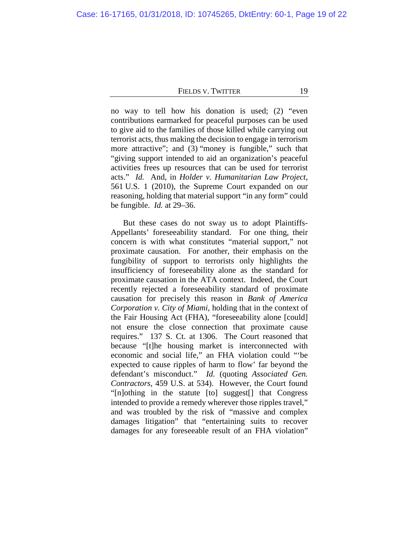no way to tell how his donation is used; (2) "even contributions earmarked for peaceful purposes can be used to give aid to the families of those killed while carrying out terrorist acts, thus making the decision to engage in terrorism more attractive"; and (3) "money is fungible," such that "giving support intended to aid an organization's peaceful activities frees up resources that can be used for terrorist acts." *Id.* And, in *Holder v. Humanitarian Law Project*, 561 U.S. 1 (2010), the Supreme Court expanded on our reasoning, holding that material support "in any form" could be fungible. *Id.* at 29–36.

But these cases do not sway us to adopt Plaintiffs-Appellants' foreseeability standard. For one thing, their concern is with what constitutes "material support," not proximate causation. For another, their emphasis on the fungibility of support to terrorists only highlights the insufficiency of foreseeability alone as the standard for proximate causation in the ATA context. Indeed, the Court recently rejected a foreseeability standard of proximate causation for precisely this reason in *Bank of America Corporation v. City of Miami*, holding that in the context of the Fair Housing Act (FHA), "foreseeability alone [could] not ensure the close connection that proximate cause requires." 137 S. Ct. at 1306. The Court reasoned that because "[t]he housing market is interconnected with economic and social life," an FHA violation could "'be expected to cause ripples of harm to flow' far beyond the defendant's misconduct." *Id.* (quoting *Associated Gen. Contractors*, 459 U.S. at 534). However, the Court found "[n]othing in the statute [to] suggest[] that Congress intended to provide a remedy wherever those ripples travel," and was troubled by the risk of "massive and complex damages litigation" that "entertaining suits to recover damages for any foreseeable result of an FHA violation"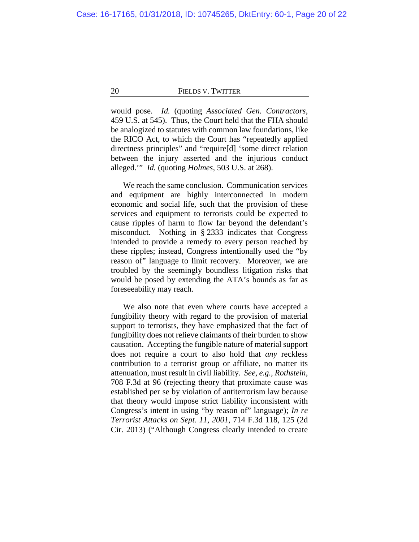would pose. *Id.* (quoting *Associated Gen. Contractors*, 459 U.S. at 545). Thus, the Court held that the FHA should be analogized to statutes with common law foundations, like the RICO Act, to which the Court has "repeatedly applied directness principles" and "require[d] 'some direct relation between the injury asserted and the injurious conduct alleged.'" *Id.* (quoting *Holmes*, 503 U.S. at 268).

We reach the same conclusion. Communication services and equipment are highly interconnected in modern economic and social life, such that the provision of these services and equipment to terrorists could be expected to cause ripples of harm to flow far beyond the defendant's misconduct. Nothing in § 2333 indicates that Congress intended to provide a remedy to every person reached by these ripples; instead, Congress intentionally used the "by reason of" language to limit recovery. Moreover, we are troubled by the seemingly boundless litigation risks that would be posed by extending the ATA's bounds as far as foreseeability may reach.

We also note that even where courts have accepted a fungibility theory with regard to the provision of material support to terrorists, they have emphasized that the fact of fungibility does not relieve claimants of their burden to show causation. Accepting the fungible nature of material support does not require a court to also hold that *any* reckless contribution to a terrorist group or affiliate, no matter its attenuation, must result in civil liability. *See, e.g.*, *Rothstein*, 708 F.3d at 96 (rejecting theory that proximate cause was established per se by violation of antiterrorism law because that theory would impose strict liability inconsistent with Congress's intent in using "by reason of" language); *In re Terrorist Attacks on Sept. 11, 2001*, 714 F.3d 118, 125 (2d Cir. 2013) ("Although Congress clearly intended to create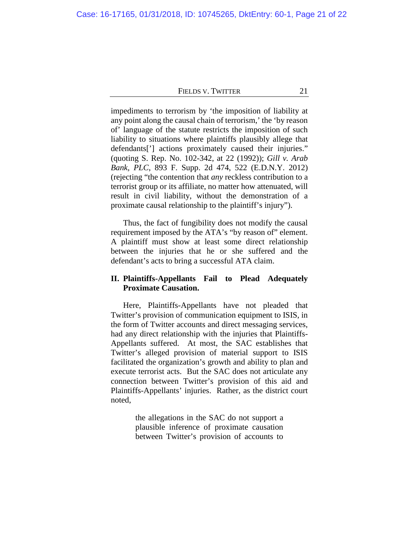impediments to terrorism by 'the imposition of liability at any point along the causal chain of terrorism,' the 'by reason of' language of the statute restricts the imposition of such liability to situations where plaintiffs plausibly allege that defendants['] actions proximately caused their injuries." (quoting S. Rep. No. 102-342, at 22 (1992)); *Gill v. Arab Bank, PLC*, 893 F. Supp. 2d 474, 522 (E.D.N.Y. 2012) (rejecting "the contention that *any* reckless contribution to a terrorist group or its affiliate, no matter how attenuated, will result in civil liability, without the demonstration of a proximate causal relationship to the plaintiff's injury").

Thus, the fact of fungibility does not modify the causal requirement imposed by the ATA's "by reason of" element. A plaintiff must show at least some direct relationship between the injuries that he or she suffered and the defendant's acts to bring a successful ATA claim.

# **II. Plaintiffs-Appellants Fail to Plead Adequately Proximate Causation.**

Here, Plaintiffs-Appellants have not pleaded that Twitter's provision of communication equipment to ISIS, in the form of Twitter accounts and direct messaging services, had any direct relationship with the injuries that Plaintiffs-Appellants suffered. At most, the SAC establishes that Twitter's alleged provision of material support to ISIS facilitated the organization's growth and ability to plan and execute terrorist acts. But the SAC does not articulate any connection between Twitter's provision of this aid and Plaintiffs-Appellants' injuries. Rather, as the district court noted,

> the allegations in the SAC do not support a plausible inference of proximate causation between Twitter's provision of accounts to